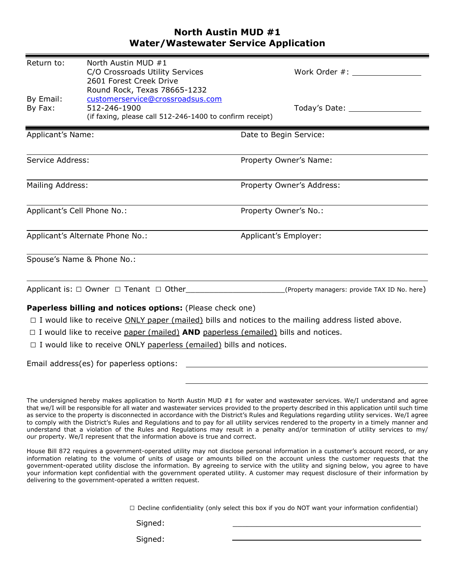## **North Austin MUD #1 Water/Wastewater Service Application**

| Return to:                                                                                                                | North Austin MUD #1                                                                      |                                                                                                           |  |  |  |
|---------------------------------------------------------------------------------------------------------------------------|------------------------------------------------------------------------------------------|-----------------------------------------------------------------------------------------------------------|--|--|--|
|                                                                                                                           | C/O Crossroads Utility Services<br>2601 Forest Creek Drive                               | Work Order #:                                                                                             |  |  |  |
|                                                                                                                           | Round Rock, Texas 78665-1232                                                             |                                                                                                           |  |  |  |
| By Email:                                                                                                                 | customerservice@crossroadsus.com                                                         |                                                                                                           |  |  |  |
| By Fax:                                                                                                                   | 512-246-1900                                                                             | Today's Date: Today's Date:                                                                               |  |  |  |
|                                                                                                                           | (if faxing, please call 512-246-1400 to confirm receipt)                                 |                                                                                                           |  |  |  |
| Applicant's Name:                                                                                                         |                                                                                          | Date to Begin Service:                                                                                    |  |  |  |
| Service Address:                                                                                                          |                                                                                          | Property Owner's Name:                                                                                    |  |  |  |
|                                                                                                                           |                                                                                          |                                                                                                           |  |  |  |
| Mailing Address:                                                                                                          |                                                                                          | Property Owner's Address:                                                                                 |  |  |  |
| Applicant's Cell Phone No.:                                                                                               |                                                                                          | Property Owner's No.:                                                                                     |  |  |  |
| Applicant's Alternate Phone No.:                                                                                          |                                                                                          | Applicant's Employer:                                                                                     |  |  |  |
|                                                                                                                           | Spouse's Name & Phone No.:                                                               |                                                                                                           |  |  |  |
|                                                                                                                           |                                                                                          |                                                                                                           |  |  |  |
| Applicant is: $\Box$ Owner $\Box$ Tenant $\Box$ Other _______________________(Property managers: provide TAX ID No. here) |                                                                                          |                                                                                                           |  |  |  |
|                                                                                                                           | Paperless billing and notices options: (Please check one)                                |                                                                                                           |  |  |  |
|                                                                                                                           |                                                                                          | $\Box$ I would like to receive ONLY paper (mailed) bills and notices to the mailing address listed above. |  |  |  |
|                                                                                                                           | $\Box$ I would like to receive paper (mailed) AND paperless (emailed) bills and notices. |                                                                                                           |  |  |  |

 $\Box$  I would like to receive ONLY paperless (emailed) bills and notices.

Email address(es) for paperless options:

 $\square$  Decline confidentiality (only select this box if you do NOT want your information confidential)

Signed: \_\_\_\_\_\_\_\_\_\_\_\_\_\_\_\_\_\_\_\_\_\_\_\_\_\_\_\_\_\_\_\_\_\_\_\_\_\_\_\_

Signed:

The undersigned hereby makes application to North Austin MUD #1 for water and wastewater services. We/I understand and agree that we/I will be responsible for all water and wastewater services provided to the property described in this application until such time as service to the property is disconnected in accordance with the District's Rules and Regulations regarding utility services. We/I agree to comply with the District's Rules and Regulations and to pay for all utility services rendered to the property in a timely manner and understand that a violation of the Rules and Regulations may result in a penalty and/or termination of utility services to my/ our property. We/I represent that the information above is true and correct.

House Bill 872 requires a government-operated utility may not disclose personal information in a customer's account record, or any information relating to the volume of units of usage or amounts billed on the account unless the customer requests that the government-operated utility disclose the information. By agreeing to service with the utility and signing below, you agree to have your information kept confidential with the government operated utility. A customer may request disclosure of their information by delivering to the government-operated a written request.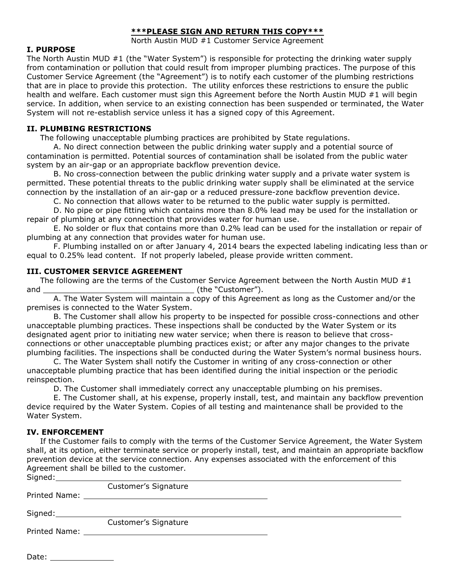## **\*\*\*PLEASE SIGN AND RETURN THIS COPY\*\*\***

North Austin MUD #1 Customer Service Agreement

## **I. PURPOSE**

The North Austin MUD #1 (the "Water System") is responsible for protecting the drinking water supply from contamination or pollution that could result from improper plumbing practices. The purpose of this Customer Service Agreement (the "Agreement") is to notify each customer of the plumbing restrictions that are in place to provide this protection. The utility enforces these restrictions to ensure the public health and welfare. Each customer must sign this Agreement before the North Austin MUD #1 will begin service. In addition, when service to an existing connection has been suspended or terminated, the Water System will not re-establish service unless it has a signed copy of this Agreement.

## **II. PLUMBING RESTRICTIONS**

The following unacceptable plumbing practices are prohibited by State regulations.

A. No direct connection between the public drinking water supply and a potential source of contamination is permitted. Potential sources of contamination shall be isolated from the public water system by an air-gap or an appropriate backflow prevention device.

B. No cross-connection between the public drinking water supply and a private water system is permitted. These potential threats to the public drinking water supply shall be eliminated at the service connection by the installation of an air-gap or a reduced pressure-zone backflow prevention device.

C. No connection that allows water to be returned to the public water supply is permitted.

D. No pipe or pipe fitting which contains more than 8.0% lead may be used for the installation or repair of plumbing at any connection that provides water for human use.

E. No solder or flux that contains more than 0.2% lead can be used for the installation or repair of plumbing at any connection that provides water for human use.

F. Plumbing installed on or after January 4, 2014 bears the expected labeling indicating less than or equal to 0.25% lead content. If not properly labeled, please provide written comment.

## **III. CUSTOMER SERVICE AGREEMENT**

The following are the terms of the Customer Service Agreement between the North Austin MUD  $\#1$ and \_\_\_\_\_\_\_\_\_\_\_\_\_\_\_\_\_\_\_\_\_\_\_\_\_\_\_\_\_\_\_\_ (the "Customer").

A. The Water System will maintain a copy of this Agreement as long as the Customer and/or the premises is connected to the Water System.

B. The Customer shall allow his property to be inspected for possible cross-connections and other unacceptable plumbing practices. These inspections shall be conducted by the Water System or its designated agent prior to initiating new water service; when there is reason to believe that crossconnections or other unacceptable plumbing practices exist; or after any major changes to the private plumbing facilities. The inspections shall be conducted during the Water System's normal business hours.

C. The Water System shall notify the Customer in writing of any cross-connection or other unacceptable plumbing practice that has been identified during the initial inspection or the periodic reinspection.

D. The Customer shall immediately correct any unacceptable plumbing on his premises.

E. The Customer shall, at his expense, properly install, test, and maintain any backflow prevention device required by the Water System. Copies of all testing and maintenance shall be provided to the Water System.

### **IV. ENFORCEMENT**

If the Customer fails to comply with the terms of the Customer Service Agreement, the Water System shall, at its option, either terminate service or properly install, test, and maintain an appropriate backflow prevention device at the service connection. Any expenses associated with the enforcement of this Agreement shall be billed to the customer. Signed:

| 30 <sub>1</sub> |                      |  |
|-----------------|----------------------|--|
|                 | Customer's Signature |  |
|                 |                      |  |
|                 |                      |  |
| Signed: Signed: |                      |  |
|                 | Customer's Signature |  |
|                 |                      |  |
|                 |                      |  |

Date: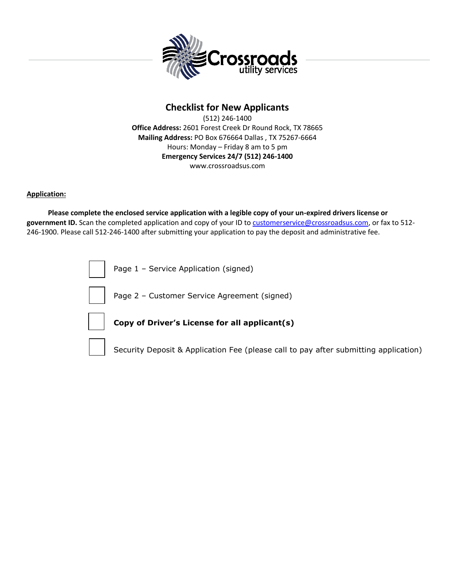

# **Checklist for New Applicants**

(512) 246-1400 **Office Address:** 2601 Forest Creek Dr Round Rock, TX 78665 **Mailing Address:** PO Box 676664 Dallas , TX 75267-6664 Hours: Monday – Friday 8 am to 5 pm **Emergency Services 24/7 (512) 246-1400** www.crossroadsus.com

#### **Application:**

 **Please complete the enclosed service application with a legible copy of your un-expired drivers license or government ID.** Scan the completed application and copy of your ID to [customerservice@crossroadsus.com,](mailto:customerservice@crossroadsus.com) or fax to 512- 246-1900. Please call 512-246-1400 after submitting your application to pay the deposit and administrative fee.

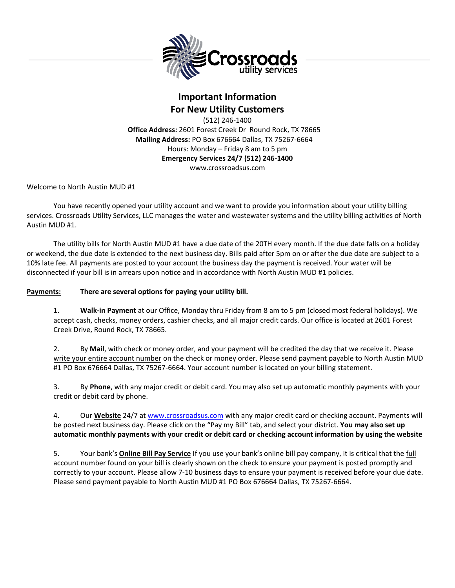

# **Important Information For New Utility Customers**

(512) 246-1400 **Office Address:** 2601 Forest Creek Dr Round Rock, TX 78665 **Mailing Address:** PO Box 676664 Dallas, TX 75267-6664 Hours: Monday – Friday 8 am to 5 pm **Emergency Services 24/7 (512) 246-1400** www.crossroadsus.com

Welcome to North Austin MUD #1

You have recently opened your utility account and we want to provide you information about your utility billing services. Crossroads Utility Services, LLC manages the water and wastewater systems and the utility billing activities of North Austin MUD #1.

The utility bills for North Austin MUD #1 have a due date of the 20TH every month. If the due date falls on a holiday or weekend, the due date is extended to the next business day. Bills paid after 5pm on or after the due date are subject to a 10% late fee. All payments are posted to your account the business day the payment is received. Your water will be disconnected if your bill is in arrears upon notice and in accordance with North Austin MUD #1 policies.

#### **Payments: There are several options for paying your utility bill.**

1. **Walk-in Payment** at our Office, Monday thru Friday from 8 am to 5 pm (closed most federal holidays). We accept cash, checks, money orders, cashier checks, and all major credit cards. Our office is located at 2601 Forest Creek Drive, Round Rock, TX 78665.

2. By **Mail**, with check or money order, and your payment will be credited the day that we receive it. Please write your entire account number on the check or money order. Please send payment payable to North Austin MUD #1 PO Box 676664 Dallas, TX 75267-6664. Your account number is located on your billing statement.

3. By **Phone**, with any major credit or debit card. You may also set up automatic monthly payments with your credit or debit card by phone.

4. Our **Website** 24/7 at [www.crossroadsus.com](http://www.crossroadsus.com/) with any major credit card or checking account. Payments will be posted next business day. Please click on the "Pay my Bill" tab, and select your district. **You may also set up automatic monthly payments with your credit or debit card or checking account information by using the website**

5. Your bank's **Online Bill Pay Service** If you use your bank's online bill pay company, it is critical that the full account number found on your bill is clearly shown on the check to ensure your payment is posted promptly and correctly to your account. Please allow 7-10 business days to ensure your payment is received before your due date. Please send payment payable to North Austin MUD #1 PO Box 676664 Dallas, TX 75267-6664.